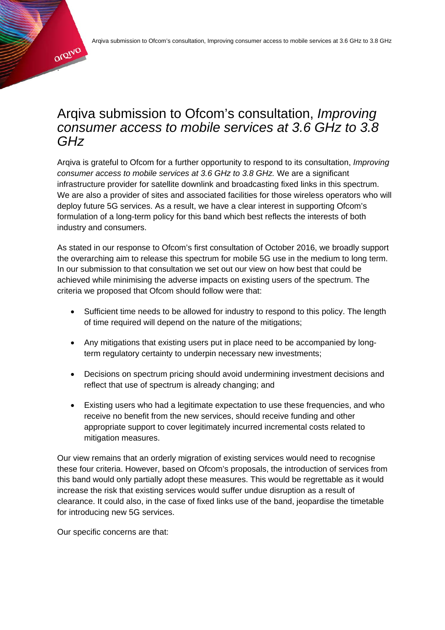# Arqiva submission to Ofcom's consultation, *Improving consumer access to mobile services at 3.6 GHz to 3.8 GHz*

Arqiva is grateful to Ofcom for a further opportunity to respond to its consultation, *Improving consumer access to mobile services at 3.6 GHz to 3.8 GHz.* We are a significant infrastructure provider for satellite downlink and broadcasting fixed links in this spectrum. We are also a provider of sites and associated facilities for those wireless operators who will deploy future 5G services. As a result, we have a clear interest in supporting Ofcom's formulation of a long-term policy for this band which best reflects the interests of both industry and consumers.

As stated in our response to Ofcom's first consultation of October 2016, we broadly support the overarching aim to release this spectrum for mobile 5G use in the medium to long term. In our submission to that consultation we set out our view on how best that could be achieved while minimising the adverse impacts on existing users of the spectrum. The criteria we proposed that Ofcom should follow were that:

- Sufficient time needs to be allowed for industry to respond to this policy. The length of time required will depend on the nature of the mitigations;
- Any mitigations that existing users put in place need to be accompanied by longterm regulatory certainty to underpin necessary new investments;
- Decisions on spectrum pricing should avoid undermining investment decisions and reflect that use of spectrum is already changing; and
- Existing users who had a legitimate expectation to use these frequencies, and who receive no benefit from the new services, should receive funding and other appropriate support to cover legitimately incurred incremental costs related to mitigation measures.

Our view remains that an orderly migration of existing services would need to recognise these four criteria. However, based on Ofcom's proposals, the introduction of services from this band would only partially adopt these measures. This would be regrettable as it would increase the risk that existing services would suffer undue disruption as a result of clearance. It could also, in the case of fixed links use of the band, jeopardise the timetable for introducing new 5G services.

Our specific concerns are that:

.

orgiva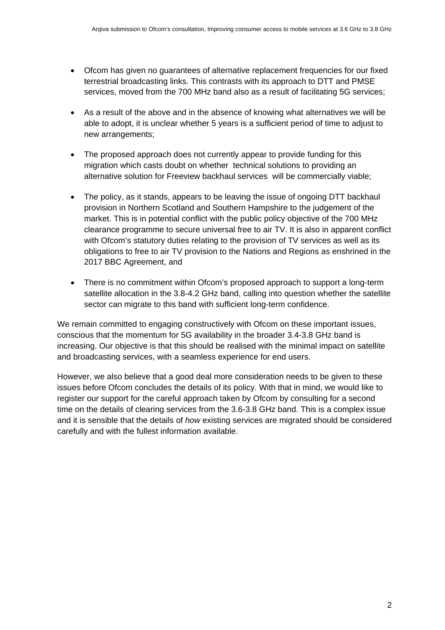- Ofcom has given no guarantees of alternative replacement frequencies for our fixed terrestrial broadcasting links. This contrasts with its approach to DTT and PMSE services, moved from the 700 MHz band also as a result of facilitating 5G services;
- As a result of the above and in the absence of knowing what alternatives we will be able to adopt, it is unclear whether 5 years is a sufficient period of time to adjust to new arrangements;
- The proposed approach does not currently appear to provide funding for this migration which casts doubt on whether technical solutions to providing an alternative solution for Freeview backhaul services will be commercially viable;
- The policy, as it stands, appears to be leaving the issue of ongoing DTT backhaul provision in Northern Scotland and Southern Hampshire to the judgement of the market. This is in potential conflict with the public policy objective of the 700 MHz clearance programme to secure universal free to air TV. It is also in apparent conflict with Ofcom's statutory duties relating to the provision of TV services as well as its obligations to free to air TV provision to the Nations and Regions as enshrined in the 2017 BBC Agreement, and
- There is no commitment within Ofcom's proposed approach to support a long-term satellite allocation in the 3.8-4.2 GHz band, calling into question whether the satellite sector can migrate to this band with sufficient long-term confidence.

We remain committed to engaging constructively with Ofcom on these important issues, conscious that the momentum for 5G availability in the broader 3.4-3.8 GHz band is increasing. Our objective is that this should be realised with the minimal impact on satellite and broadcasting services, with a seamless experience for end users.

However, we also believe that a good deal more consideration needs to be given to these issues before Ofcom concludes the details of its policy. With that in mind, we would like to register our support for the careful approach taken by Ofcom by consulting for a second time on the details of clearing services from the 3.6-3.8 GHz band. This is a complex issue and it is sensible that the details of *how* existing services are migrated should be considered carefully and with the fullest information available.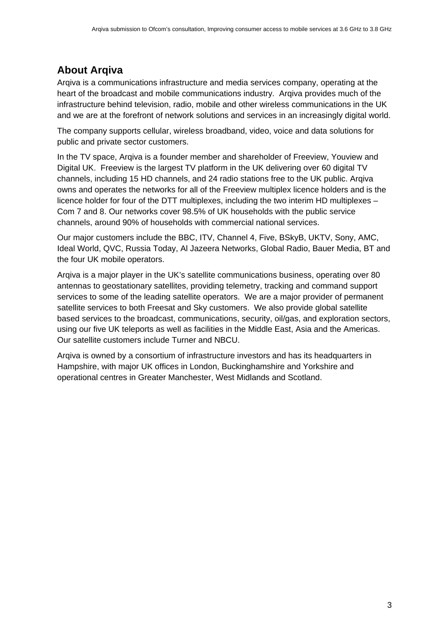## **About Arqiva**

Arqiva is a communications infrastructure and media services company, operating at the heart of the broadcast and mobile communications industry. Arqiva provides much of the infrastructure behind television, radio, mobile and other wireless communications in the UK and we are at the forefront of network solutions and services in an increasingly digital world.

The company supports cellular, wireless broadband, video, voice and data solutions for public and private sector customers.

In the TV space, Arqiva is a founder member and shareholder of Freeview, Youview and Digital UK. Freeview is the largest TV platform in the UK delivering over 60 digital TV channels, including 15 HD channels, and 24 radio stations free to the UK public. Arqiva owns and operates the networks for all of the Freeview multiplex licence holders and is the licence holder for four of the DTT multiplexes, including the two interim HD multiplexes – Com 7 and 8. Our networks cover 98.5% of UK households with the public service channels, around 90% of households with commercial national services.

Our major customers include the BBC, ITV, Channel 4, Five, BSkyB, UKTV, Sony, AMC, Ideal World, QVC, Russia Today, Al Jazeera Networks, Global Radio, Bauer Media, BT and the four UK mobile operators.

Arqiva is a major player in the UK's satellite communications business, operating over 80 antennas to geostationary satellites, providing telemetry, tracking and command support services to some of the leading satellite operators. We are a major provider of permanent satellite services to both Freesat and Sky customers. We also provide global satellite based services to the broadcast, communications, security, oil/gas, and exploration sectors, using our five UK teleports as well as facilities in the Middle East, Asia and the Americas. Our satellite customers include Turner and NBCU.

Arqiva is owned by a consortium of infrastructure investors and has its headquarters in Hampshire, with major UK offices in London, Buckinghamshire and Yorkshire and operational centres in Greater Manchester, West Midlands and Scotland.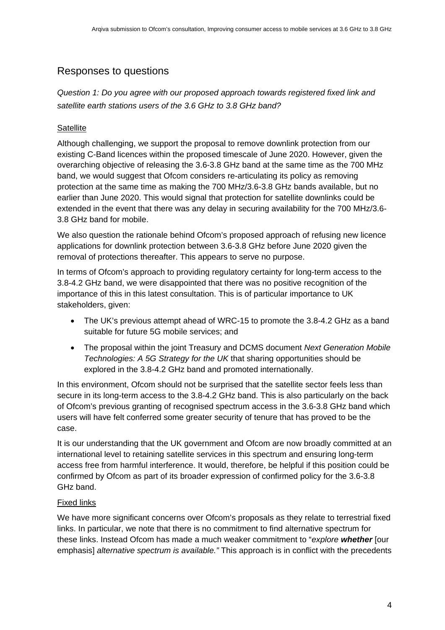### Responses to questions

*Question 1: Do you agree with our proposed approach towards registered fixed link and satellite earth stations users of the 3.6 GHz to 3.8 GHz band?*

#### **Satellite**

Although challenging, we support the proposal to remove downlink protection from our existing C-Band licences within the proposed timescale of June 2020. However, given the overarching objective of releasing the 3.6-3.8 GHz band at the same time as the 700 MHz band, we would suggest that Ofcom considers re-articulating its policy as removing protection at the same time as making the 700 MHz/3.6-3.8 GHz bands available, but no earlier than June 2020. This would signal that protection for satellite downlinks could be extended in the event that there was any delay in securing availability for the 700 MHz/3.6- 3.8 GHz band for mobile.

We also question the rationale behind Ofcom's proposed approach of refusing new licence applications for downlink protection between 3.6-3.8 GHz before June 2020 given the removal of protections thereafter. This appears to serve no purpose.

In terms of Ofcom's approach to providing regulatory certainty for long-term access to the 3.8-4.2 GHz band, we were disappointed that there was no positive recognition of the importance of this in this latest consultation. This is of particular importance to UK stakeholders, given:

- The UK's previous attempt ahead of WRC-15 to promote the 3.8-4.2 GHz as a band suitable for future 5G mobile services; and
- The proposal within the joint Treasury and DCMS document *Next Generation Mobile Technologies: A 5G Strategy for the UK* that sharing opportunities should be explored in the 3.8-4.2 GHz band and promoted internationally.

In this environment, Ofcom should not be surprised that the satellite sector feels less than secure in its long-term access to the 3.8-4.2 GHz band. This is also particularly on the back of Ofcom's previous granting of recognised spectrum access in the 3.6-3.8 GHz band which users will have felt conferred some greater security of tenure that has proved to be the case.

It is our understanding that the UK government and Ofcom are now broadly committed at an international level to retaining satellite services in this spectrum and ensuring long-term access free from harmful interference. It would, therefore, be helpful if this position could be confirmed by Ofcom as part of its broader expression of confirmed policy for the 3.6-3.8 GHz band.

#### Fixed links

We have more significant concerns over Ofcom's proposals as they relate to terrestrial fixed links. In particular, we note that there is no commitment to find alternative spectrum for these links. Instead Ofcom has made a much weaker commitment to "*explore whether* [our emphasis] *alternative spectrum is available."* This approach is in conflict with the precedents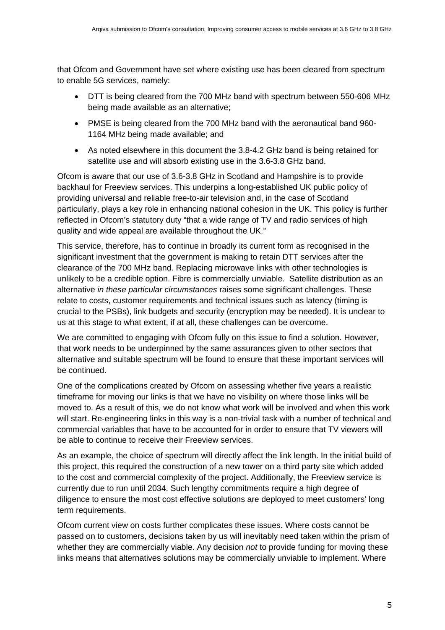that Ofcom and Government have set where existing use has been cleared from spectrum to enable 5G services, namely:

- DTT is being cleared from the 700 MHz band with spectrum between 550-606 MHz being made available as an alternative;
- PMSE is being cleared from the 700 MHz band with the aeronautical band 960- 1164 MHz being made available; and
- As noted elsewhere in this document the 3.8-4.2 GHz band is being retained for satellite use and will absorb existing use in the 3.6-3.8 GHz band.

Ofcom is aware that our use of 3.6-3.8 GHz in Scotland and Hampshire is to provide backhaul for Freeview services. This underpins a long-established UK public policy of providing universal and reliable free-to-air television and, in the case of Scotland particularly, plays a key role in enhancing national cohesion in the UK. This policy is further reflected in Ofcom's statutory duty "that a wide range of TV and radio services of high quality and wide appeal are available throughout the UK."

This service, therefore, has to continue in broadly its current form as recognised in the significant investment that the government is making to retain DTT services after the clearance of the 700 MHz band. Replacing microwave links with other technologies is unlikely to be a credible option. Fibre is commercially unviable. Satellite distribution as an alternative *in these particular circumstances* raises some significant challenges. These relate to costs, customer requirements and technical issues such as latency (timing is crucial to the PSBs), link budgets and security (encryption may be needed). It is unclear to us at this stage to what extent, if at all, these challenges can be overcome.

We are committed to engaging with Ofcom fully on this issue to find a solution. However, that work needs to be underpinned by the same assurances given to other sectors that alternative and suitable spectrum will be found to ensure that these important services will be continued.

One of the complications created by Ofcom on assessing whether five years a realistic timeframe for moving our links is that we have no visibility on where those links will be moved to. As a result of this, we do not know what work will be involved and when this work will start. Re-engineering links in this way is a non-trivial task with a number of technical and commercial variables that have to be accounted for in order to ensure that TV viewers will be able to continue to receive their Freeview services.

As an example, the choice of spectrum will directly affect the link length. In the initial build of this project, this required the construction of a new tower on a third party site which added to the cost and commercial complexity of the project. Additionally, the Freeview service is currently due to run until 2034. Such lengthy commitments require a high degree of diligence to ensure the most cost effective solutions are deployed to meet customers' long term requirements.

Ofcom current view on costs further complicates these issues. Where costs cannot be passed on to customers, decisions taken by us will inevitably need taken within the prism of whether they are commercially viable. Any decision *not* to provide funding for moving these links means that alternatives solutions may be commercially unviable to implement. Where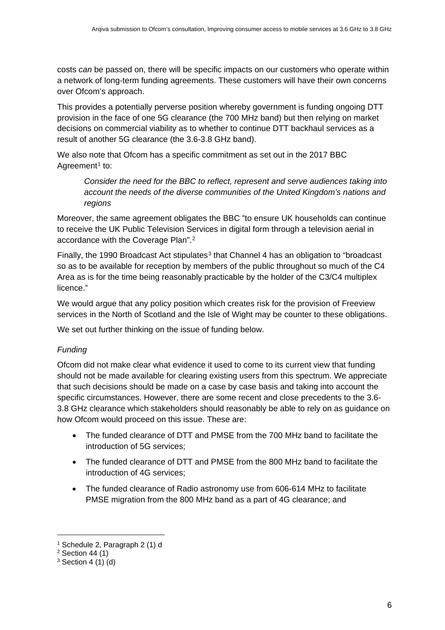costs *can* be passed on, there will be specific impacts on our customers who operate within a network of long-term funding agreements. These customers will have their own concerns over Ofcom's approach.

This provides a potentially perverse position whereby government is funding ongoing DTT provision in the face of one 5G clearance (the 700 MHz band) but then relying on market decisions on commercial viability as to whether to continue DTT backhaul services as a result of another 5G clearance (the 3.6-3.8 GHz band).

We also note that Ofcom has a specific commitment as set out in the 2017 BBC Agreement<sup>[1](#page-5-0)</sup> to:

*Consider the need for the BBC to reflect, represent and serve audiences taking into account the needs of the diverse communities of the United Kingdom's nations and regions* 

Moreover, the same agreement obligates the BBC "to ensure UK households can continue to receive the UK Public Television Services in digital form through a television aerial in accordance with the Coverage Plan".[2](#page-5-1)

Finally, the 1990 Broadcast Act stipulates<sup>[3](#page-5-2)</sup> that Channel 4 has an obligation to "broadcast so as to be available for reception by members of the public throughout so much of the C4 Area as is for the time being reasonably practicable by the holder of the C3/C4 multiplex licence."

We would argue that any policy position which creates risk for the provision of Freeview services in the North of Scotland and the Isle of Wight may be counter to these obligations.

We set out further thinking on the issue of funding below.

#### *Funding*

Ofcom did not make clear what evidence it used to come to its current view that funding should not be made available for clearing existing users from this spectrum. We appreciate that such decisions should be made on a case by case basis and taking into account the specific circumstances. However, there are some recent and close precedents to the 3.6- 3.8 GHz clearance which stakeholders should reasonably be able to rely on as guidance on how Ofcom would proceed on this issue. These are:

- The funded clearance of DTT and PMSE from the 700 MHz band to facilitate the introduction of 5G services;
- The funded clearance of DTT and PMSE from the 800 MHz band to facilitate the introduction of 4G services;
- The funded clearance of Radio astronomy use from 606-614 MHz to facilitate PMSE migration from the 800 MHz band as a part of 4G clearance; and

-

<sup>1</sup> Schedule 2, Paragraph 2 (1) d

<span id="page-5-1"></span><span id="page-5-0"></span> $2$  Section 44 (1)

<span id="page-5-2"></span> $3$  Section 4 (1) (d)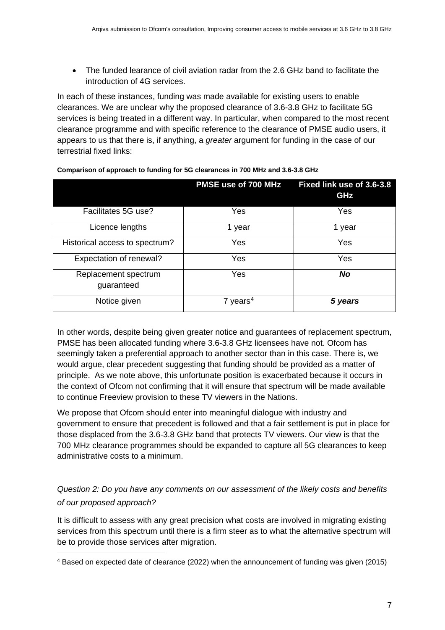• The funded learance of civil aviation radar from the 2.6 GHz band to facilitate the introduction of 4G services.

In each of these instances, funding was made available for existing users to enable clearances. We are unclear why the proposed clearance of 3.6-3.8 GHz to facilitate 5G services is being treated in a different way. In particular, when compared to the most recent clearance programme and with specific reference to the clearance of PMSE audio users, it appears to us that there is, if anything, a *greater* argument for funding in the case of our terrestrial fixed links:

|                                    | PMSE use of 700 MHz  | Fixed link use of 3.6-3.8<br>GHz |
|------------------------------------|----------------------|----------------------------------|
| Facilitates 5G use?                | Yes                  | Yes                              |
| Licence lengths                    | 1 year               | 1 year                           |
| Historical access to spectrum?     | Yes                  | Yes                              |
| Expectation of renewal?            | Yes                  | Yes                              |
| Replacement spectrum<br>guaranteed | Yes                  | No                               |
| Notice given                       | 7 years <sup>4</sup> | 5 years                          |

**Comparison of approach to funding for 5G clearances in 700 MHz and 3.6-3.8 GHz**

In other words, despite being given greater notice and guarantees of replacement spectrum, PMSE has been allocated funding where 3.6-3.8 GHz licensees have not. Ofcom has seemingly taken a preferential approach to another sector than in this case. There is, we would argue, clear precedent suggesting that funding should be provided as a matter of principle. As we note above, this unfortunate position is exacerbated because it occurs in the context of Ofcom not confirming that it will ensure that spectrum will be made available to continue Freeview provision to these TV viewers in the Nations.

We propose that Ofcom should enter into meaningful dialogue with industry and government to ensure that precedent is followed and that a fair settlement is put in place for those displaced from the 3.6-3.8 GHz band that protects TV viewers. Our view is that the 700 MHz clearance programmes should be expanded to capture all 5G clearances to keep administrative costs to a minimum.

*Question 2: Do you have any comments on our assessment of the likely costs and benefits of our proposed approach?*

It is difficult to assess with any great precision what costs are involved in migrating existing services from this spectrum until there is a firm steer as to what the alternative spectrum will be to provide those services after migration.

-

<span id="page-6-0"></span><sup>4</sup> Based on expected date of clearance (2022) when the announcement of funding was given (2015)